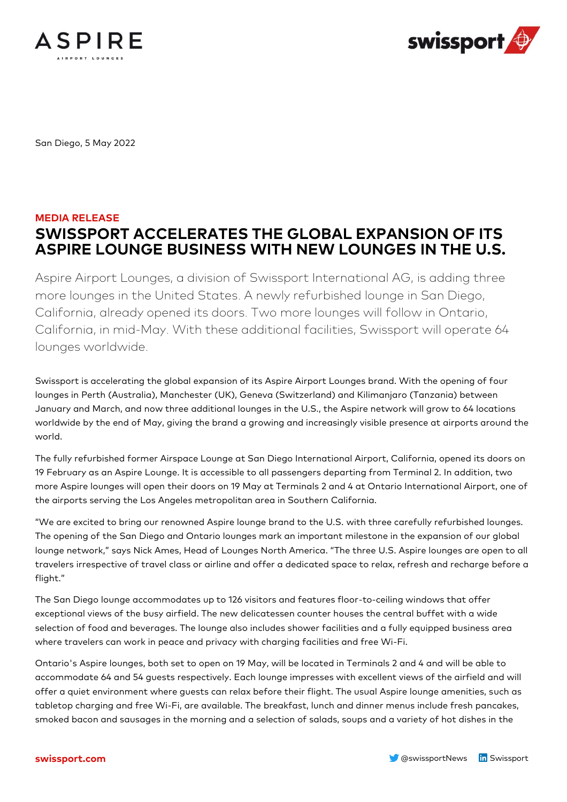



San Diego, 5 May 2022

## **MEDIA RELEASE SWISSPORT ACCELERATES THE GLOBAL EXPANSION OF ITS ASPIRE LOUNGE BUSINESS WITH NEW LOUNGES IN THE U.S.**

Aspire Airport Lounges, a division of Swissport International AG, is adding three more lounges in the United States. A newly refurbished lounge in San Diego, California, already opened its doors. Two more lounges will follow in Ontario, California, in mid-May. With these additional facilities, Swissport will operate 64 lounges worldwide.

Swissport is accelerating the global expansion of its Aspire Airport Lounges brand. With the opening of four lounges in Perth (Australia), Manchester (UK), Geneva (Switzerland) and Kilimanjaro (Tanzania) between January and March, and now three additional lounges in the U.S., the Aspire network will grow to 64 locations worldwide by the end of May, giving the brand a growing and increasingly visible presence at airports around the world.

The fully refurbished former Airspace Lounge at San Diego International Airport, California, opened its doors on 19 February as an Aspire Lounge. It is accessible to all passengers departing from Terminal 2. In addition, two more Aspire lounges will open their doors on 19 May at Terminals 2 and 4 at Ontario International Airport, one of the airports serving the Los Angeles metropolitan area in Southern California.

"We are excited to bring our renowned Aspire lounge brand to the U.S. with three carefully refurbished lounges. The opening of the San Diego and Ontario lounges mark an important milestone in the expansion of our global lounge network," says Nick Ames, Head of Lounges North America. "The three U.S. Aspire lounges are open to all travelers irrespective of travel class or airline and offer a dedicated space to relax, refresh and recharge before a flight."

The San Diego lounge accommodates up to 126 visitors and features floor-to-ceiling windows that offer exceptional views of the busy airfield. The new delicatessen counter houses the central buffet with a wide selection of food and beverages. The lounge also includes shower facilities and a fully equipped business area where travelers can work in peace and privacy with charging facilities and free Wi-Fi.

Ontario's Aspire lounges, both set to open on 19 May, will be located in Terminals 2 and 4 and will be able to accommodate 64 and 54 guests respectively. Each lounge impresses with excellent views of the airfield and will offer a quiet environment where guests can relax before their flight. The usual Aspire lounge amenities, such as tabletop charging and free Wi-Fi, are available. The breakfast, lunch and dinner menus include fresh pancakes, smoked bacon and sausages in the morning and a selection of salads, soups and a variety of hot dishes in the